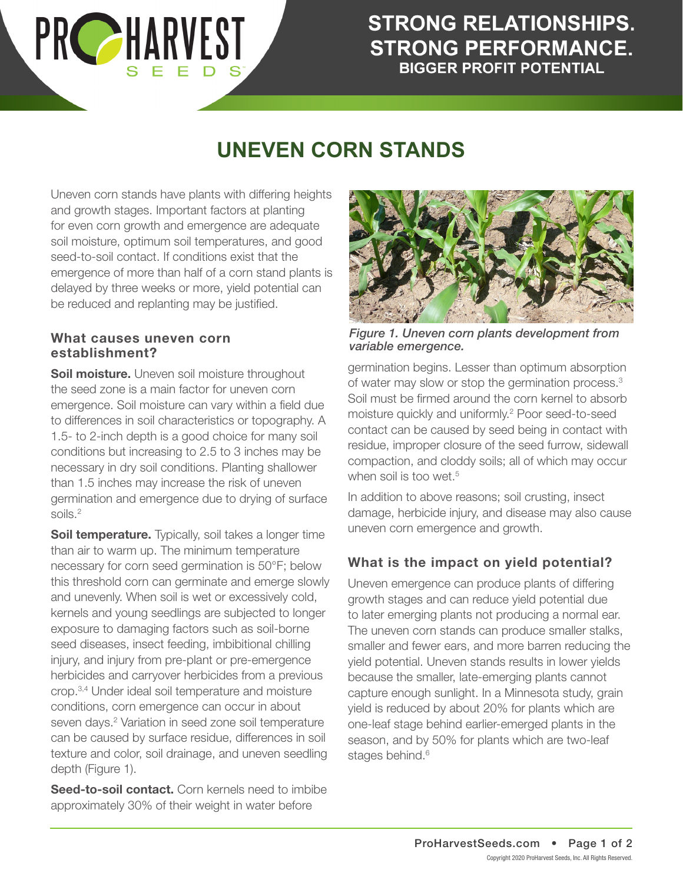### **STRONG RELATIONSHIPS. STRONG PERFORMANCE. BIGGER PROFIT POTENTIAL**

## **UNEVEN CORN STANDS**

Uneven corn stands have plants with differing heights and growth stages. Important factors at planting for even corn growth and emergence are adequate soil moisture, optimum soil temperatures, and good seed-to-soil contact. If conditions exist that the emergence of more than half of a corn stand plants is delayed by three weeks or more, yield potential can be reduced and replanting may be justified.

#### **What causes uneven corn establishment?**

**PRC HARVEST** 

**Soil moisture.** Uneven soil moisture throughout the seed zone is a main factor for uneven corn emergence. Soil moisture can vary within a field due to differences in soil characteristics or topography. A 1.5- to 2-inch depth is a good choice for many soil conditions but increasing to 2.5 to 3 inches may be necessary in dry soil conditions. Planting shallower than 1.5 inches may increase the risk of uneven germination and emergence due to drying of surface soils.2

**Soil temperature.** Typically, soil takes a longer time than air to warm up. The minimum temperature necessary for corn seed germination is 50°F; below this threshold corn can germinate and emerge slowly and unevenly. When soil is wet or excessively cold, kernels and young seedlings are subjected to longer exposure to damaging factors such as soil-borne seed diseases, insect feeding, imbibitional chilling injury, and injury from pre-plant or pre-emergence herbicides and carryover herbicides from a previous crop.3,4 Under ideal soil temperature and moisture conditions, corn emergence can occur in about seven days.<sup>2</sup> Variation in seed zone soil temperature can be caused by surface residue, differences in soil texture and color, soil drainage, and uneven seedling depth (Figure 1).

**Seed-to-soil contact.** Corn kernels need to imbibe approximately 30% of their weight in water before



*Figure 1. Uneven corn plants development from variable emergence.*

germination begins. Lesser than optimum absorption of water may slow or stop the germination process.<sup>3</sup> Soil must be firmed around the corn kernel to absorb moisture quickly and uniformly.2 Poor seed-to-seed contact can be caused by seed being in contact with residue, improper closure of the seed furrow, sidewall compaction, and cloddy soils; all of which may occur when soil is too wet.<sup>5</sup>

In addition to above reasons; soil crusting, insect damage, herbicide injury, and disease may also cause uneven corn emergence and growth.

### **What is the impact on yield potential?**

Uneven emergence can produce plants of differing growth stages and can reduce yield potential due to later emerging plants not producing a normal ear. The uneven corn stands can produce smaller stalks, smaller and fewer ears, and more barren reducing the yield potential. Uneven stands results in lower yields because the smaller, late-emerging plants cannot capture enough sunlight. In a Minnesota study, grain yield is reduced by about 20% for plants which are one-leaf stage behind earlier-emerged plants in the season, and by 50% for plants which are two-leaf stages behind.<sup>6</sup>